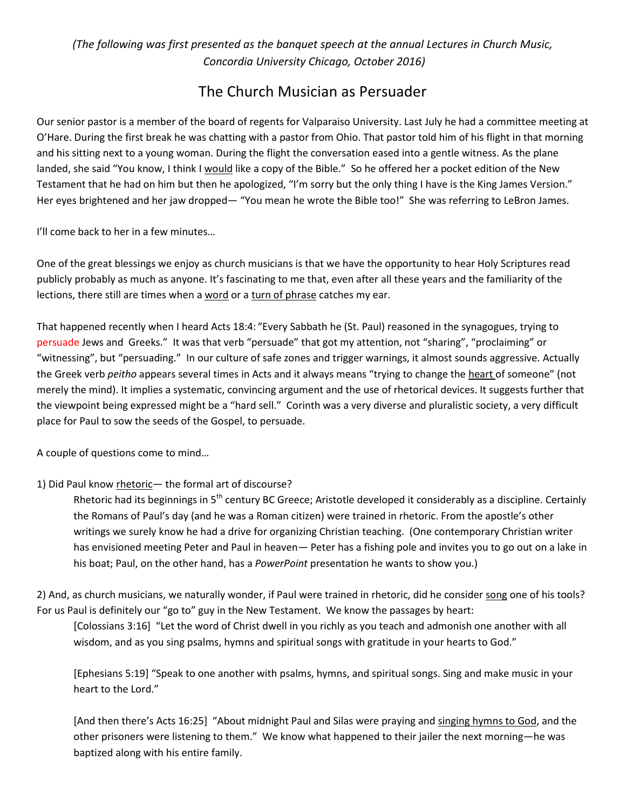*(The following was first presented as the banquet speech at the annual Lectures in Church Music, Concordia University Chicago, October 2016)*

# The Church Musician as Persuader

Our senior pastor is a member of the board of regents for Valparaiso University. Last July he had a committee meeting at O'Hare. During the first break he was chatting with a pastor from Ohio. That pastor told him of his flight in that morning and his sitting next to a young woman. During the flight the conversation eased into a gentle witness. As the plane landed, she said "You know, I think I would like a copy of the Bible." So he offered her a pocket edition of the New Testament that he had on him but then he apologized, "I'm sorry but the only thing I have is the King James Version." Her eyes brightened and her jaw dropped— "You mean he wrote the Bible too!" She was referring to LeBron James.

I'll come back to her in a few minutes…

One of the great blessings we enjoy as church musicians is that we have the opportunity to hear Holy Scriptures read publicly probably as much as anyone. It's fascinating to me that, even after all these years and the familiarity of the lections, there still are times when a word or a turn of phrase catches my ear.

That happened recently when I heard Acts 18:4: "Every Sabbath he (St. Paul) reasoned in the synagogues, trying to persuade Jews and Greeks." It was that verb "persuade" that got my attention, not "sharing", "proclaiming" or "witnessing", but "persuading." In our culture of safe zones and trigger warnings, it almost sounds aggressive. Actually the Greek verb *peitho* appears several times in Acts and it always means "trying to change the heart of someone" (not merely the mind). It implies a systematic, convincing argument and the use of rhetorical devices. It suggests further that the viewpoint being expressed might be a "hard sell." Corinth was a very diverse and pluralistic society, a very difficult place for Paul to sow the seeds of the Gospel, to persuade.

A couple of questions come to mind…

## 1) Did Paul know rhetoric— the formal art of discourse?

Rhetoric had its beginnings in 5<sup>th</sup> century BC Greece; Aristotle developed it considerably as a discipline. Certainly the Romans of Paul's day (and he was a Roman citizen) were trained in rhetoric. From the apostle's other writings we surely know he had a drive for organizing Christian teaching. (One contemporary Christian writer has envisioned meeting Peter and Paul in heaven— Peter has a fishing pole and invites you to go out on a lake in his boat; Paul, on the other hand, has a *PowerPoint* presentation he wants to show you.)

2) And, as church musicians, we naturally wonder, if Paul were trained in rhetoric, did he consider song one of his tools? For us Paul is definitely our "go to" guy in the New Testament. We know the passages by heart:

[Colossians 3:16] "Let the word of Christ dwell in you richly as you teach and admonish one another with all wisdom, and as you sing psalms, hymns and spiritual songs with gratitude in your hearts to God."

[Ephesians 5:19] "Speak to one another with psalms, hymns, and spiritual songs. Sing and make music in your heart to the Lord."

[And then there's Acts 16:25] "About midnight Paul and Silas were praying and singing hymns to God, and the other prisoners were listening to them." We know what happened to their jailer the next morning—he was baptized along with his entire family.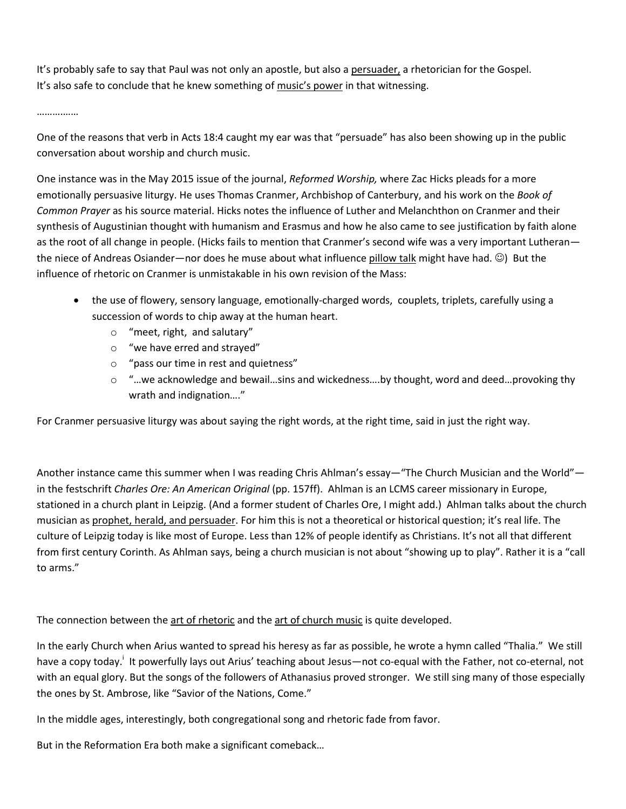It's probably safe to say that Paul was not only an apostle, but also a persuader, a rhetorician for the Gospel. It's also safe to conclude that he knew something of music's power in that witnessing.

……….……

One of the reasons that verb in Acts 18:4 caught my ear was that "persuade" has also been showing up in the public conversation about worship and church music.

One instance was in the May 2015 issue of the journal, *Reformed Worship,* where Zac Hicks pleads for a more emotionally persuasive liturgy. He uses Thomas Cranmer, Archbishop of Canterbury, and his work on the *Book of Common Prayer* as his source material. Hicks notes the influence of Luther and Melanchthon on Cranmer and their synthesis of Augustinian thought with humanism and Erasmus and how he also came to see justification by faith alone as the root of all change in people. (Hicks fails to mention that Cranmer's second wife was a very important Lutheran the niece of Andreas Osiander—nor does he muse about what influence pillow talk might have had. ©) But the influence of rhetoric on Cranmer is unmistakable in his own revision of the Mass:

- the use of flowery, sensory language, emotionally-charged words, couplets, triplets, carefully using a succession of words to chip away at the human heart.
	- o "meet, right, and salutary"
	- o "we have erred and strayed"
	- o "pass our time in rest and quietness"
	- o "…we acknowledge and bewail…sins and wickedness….by thought, word and deed…provoking thy wrath and indignation…."

For Cranmer persuasive liturgy was about saying the right words, at the right time, said in just the right way.

Another instance came this summer when I was reading Chris Ahlman's essay—"The Church Musician and the World" in the festschrift *Charles Ore: An American Original* (pp. 157ff). Ahlman is an LCMS career missionary in Europe, stationed in a church plant in Leipzig. (And a former student of Charles Ore, I might add.) Ahlman talks about the church musician as prophet, herald, and persuader. For him this is not a theoretical or historical question; it's real life. The culture of Leipzig today is like most of Europe. Less than 12% of people identify as Christians. It's not all that different from first century Corinth. As Ahlman says, being a church musician is not about "showing up to play". Rather it is a "call to arms."

The connection between the art of rhetoric and the art of church music is quite developed.

In the early Church when Arius wanted to spread his heresy as far as possible, he wrote a hymn called "Thalia." We still have a copy today.<sup>i</sup> It powerfully lays out Arius' teaching about Jesus—not co-equal with the Father, not co-eternal, not with an equal glory. But the songs of the followers of Athanasius proved stronger. We still sing many of those especially the ones by St. Ambrose, like "Savior of the Nations, Come."

In the middle ages, interestingly, both congregational song and rhetoric fade from favor.

But in the Reformation Era both make a significant comeback…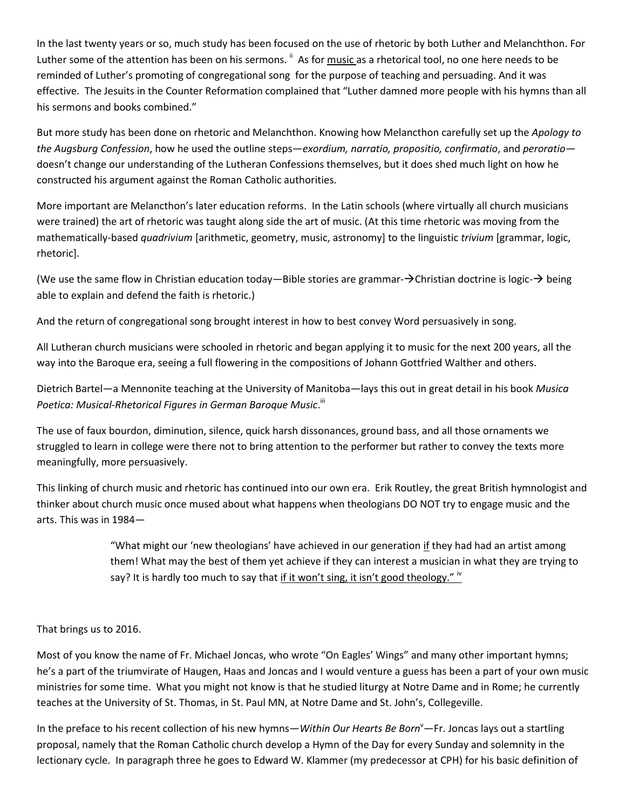In the last twenty years or so, much study has been focused on the use of rhetoric by both Luther and Melanchthon. For Luther some of the attention has been on his sermons. <sup>ii</sup> As for <u>music as a rhetorical tool,</u> no one here needs to be reminded of Luther's promoting of congregational song for the purpose of teaching and persuading. And it was effective. The Jesuits in the Counter Reformation complained that "Luther damned more people with his hymns than all his sermons and books combined."

But more study has been done on rhetoric and Melanchthon. Knowing how Melancthon carefully set up the *Apology to the Augsburg Confession*, how he used the outline steps—*exordium, narratio, propositio, confirmatio*, and *peroratio* doesn't change our understanding of the Lutheran Confessions themselves, but it does shed much light on how he constructed his argument against the Roman Catholic authorities.

More important are Melancthon's later education reforms. In the Latin schools (where virtually all church musicians were trained) the art of rhetoric was taught along side the art of music. (At this time rhetoric was moving from the mathematically-based *quadrivium* [arithmetic, geometry, music, astronomy] to the linguistic *trivium* [grammar, logic, rhetoric].

(We use the same flow in Christian education today—Bible stories are grammar- $\rightarrow$ Christian doctrine is logic- $\rightarrow$  being able to explain and defend the faith is rhetoric.)

And the return of congregational song brought interest in how to best convey Word persuasively in song.

All Lutheran church musicians were schooled in rhetoric and began applying it to music for the next 200 years, all the way into the Baroque era, seeing a full flowering in the compositions of Johann Gottfried Walther and others.

Dietrich Bartel—a Mennonite teaching at the University of Manitoba—lays this out in great detail in his book *Musica*  Poetica: Musical-Rhetorical Figures in German Baroque Music.<sup>!!</sup>

The use of faux bourdon, diminution, silence, quick harsh dissonances, ground bass, and all those ornaments we struggled to learn in college were there not to bring attention to the performer but rather to convey the texts more meaningfully, more persuasively.

This linking of church music and rhetoric has continued into our own era. Erik Routley, the great British hymnologist and thinker about church music once mused about what happens when theologians DO NOT try to engage music and the arts. This was in 1984—

> "What might our 'new theologians' have achieved in our generation if they had had an artist among them! What may the best of them yet achieve if they can interest a musician in what they are trying to say? It is hardly too much to say that if it won't sing, it isn't good theology."  $\dot{N}$

### That brings us to 2016.

Most of you know the name of Fr. Michael Joncas, who wrote "On Eagles' Wings" and many other important hymns; he's a part of the triumvirate of Haugen, Haas and Joncas and I would venture a guess has been a part of your own music ministries for some time. What you might not know is that he studied liturgy at Notre Dame and in Rome; he currently teaches at the University of St. Thomas, in St. Paul MN, at Notre Dame and St. John's, Collegeville.

In the preface to his recent collection of his new hymns—*Within Our Hearts Be Born*<sup>V</sup>—Fr. Joncas lays out a startling proposal, namely that the Roman Catholic church develop a Hymn of the Day for every Sunday and solemnity in the lectionary cycle. In paragraph three he goes to Edward W. Klammer (my predecessor at CPH) for his basic definition of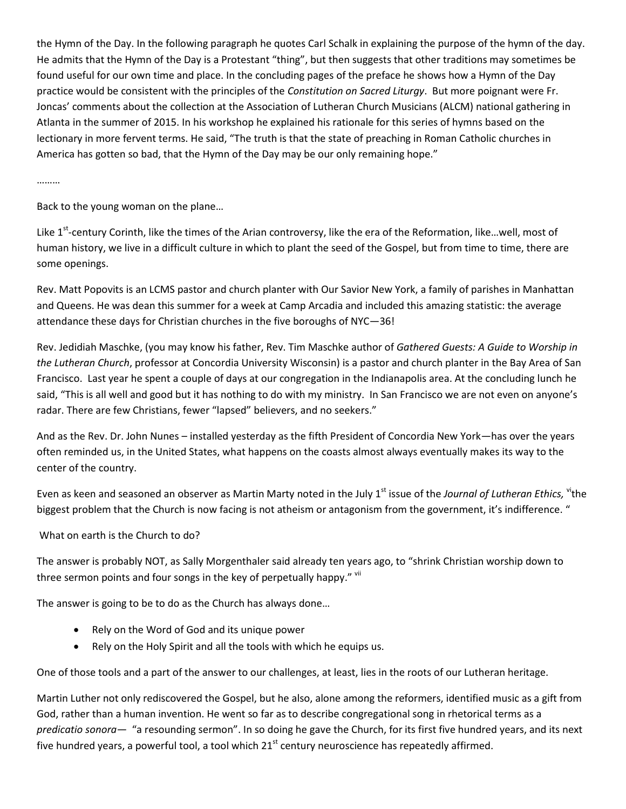the Hymn of the Day. In the following paragraph he quotes Carl Schalk in explaining the purpose of the hymn of the day. He admits that the Hymn of the Day is a Protestant "thing", but then suggests that other traditions may sometimes be found useful for our own time and place. In the concluding pages of the preface he shows how a Hymn of the Day practice would be consistent with the principles of the *Constitution on Sacred Liturgy*. But more poignant were Fr. Joncas' comments about the collection at the Association of Lutheran Church Musicians (ALCM) national gathering in Atlanta in the summer of 2015. In his workshop he explained his rationale for this series of hymns based on the lectionary in more fervent terms. He said, "The truth is that the state of preaching in Roman Catholic churches in America has gotten so bad, that the Hymn of the Day may be our only remaining hope."

………

Back to the young woman on the plane…

Like 1<sup>st</sup>-century Corinth, like the times of the Arian controversy, like the era of the Reformation, like...well, most of human history, we live in a difficult culture in which to plant the seed of the Gospel, but from time to time, there are some openings.

Rev. Matt Popovits is an LCMS pastor and church planter with Our Savior New York, a family of parishes in Manhattan and Queens. He was dean this summer for a week at Camp Arcadia and included this amazing statistic: the average attendance these days for Christian churches in the five boroughs of NYC—36!

Rev. Jedidiah Maschke, (you may know his father, Rev. Tim Maschke author of *Gathered Guests: A Guide to Worship in the Lutheran Church*, professor at Concordia University Wisconsin) is a pastor and church planter in the Bay Area of San Francisco. Last year he spent a couple of days at our congregation in the Indianapolis area. At the concluding lunch he said, "This is all well and good but it has nothing to do with my ministry. In San Francisco we are not even on anyone's radar. There are few Christians, fewer "lapsed" believers, and no seekers."

And as the Rev. Dr. John Nunes – installed yesterday as the fifth President of Concordia New York—has over the years often reminded us, in the United States, what happens on the coasts almost always eventually makes its way to the center of the country.

Even as keen and seasoned an observer as Martin Marty noted in the July 1<sup>st</sup> issue of the *Journal of Lutheran Ethics*, <sup>vi</sup>the biggest problem that the Church is now facing is not atheism or antagonism from the government, it's indifference. "

What on earth is the Church to do?

The answer is probably NOT, as Sally Morgenthaler said already ten years ago, to "shrink Christian worship down to three sermon points and four songs in the key of perpetually happy." Vil

The answer is going to be to do as the Church has always done…

- Rely on the Word of God and its unique power
- Rely on the Holy Spirit and all the tools with which he equips us.

One of those tools and a part of the answer to our challenges, at least, lies in the roots of our Lutheran heritage.

Martin Luther not only rediscovered the Gospel, but he also, alone among the reformers, identified music as a gift from God, rather than a human invention. He went so far as to describe congregational song in rhetorical terms as a *predicatio sonora—* "a resounding sermon". In so doing he gave the Church, for its first five hundred years, and its next five hundred years, a powerful tool, a tool which 21<sup>st</sup> century neuroscience has repeatedly affirmed.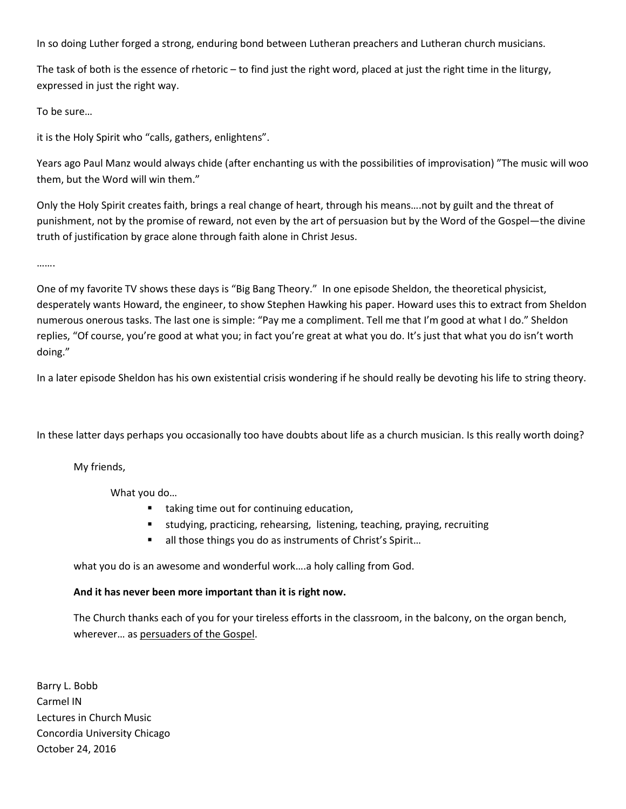In so doing Luther forged a strong, enduring bond between Lutheran preachers and Lutheran church musicians.

The task of both is the essence of rhetoric – to find just the right word, placed at just the right time in the liturgy, expressed in just the right way.

To be sure…

it is the Holy Spirit who "calls, gathers, enlightens".

Years ago Paul Manz would always chide (after enchanting us with the possibilities of improvisation) "The music will woo them, but the Word will win them."

Only the Holy Spirit creates faith, brings a real change of heart, through his means….not by guilt and the threat of punishment, not by the promise of reward, not even by the art of persuasion but by the Word of the Gospel—the divine truth of justification by grace alone through faith alone in Christ Jesus.

…….

One of my favorite TV shows these days is "Big Bang Theory." In one episode Sheldon, the theoretical physicist, desperately wants Howard, the engineer, to show Stephen Hawking his paper. Howard uses this to extract from Sheldon numerous onerous tasks. The last one is simple: "Pay me a compliment. Tell me that I'm good at what I do." Sheldon replies, "Of course, you're good at what you; in fact you're great at what you do. It's just that what you do isn't worth doing."

In a later episode Sheldon has his own existential crisis wondering if he should really be devoting his life to string theory.

In these latter days perhaps you occasionally too have doubts about life as a church musician. Is this really worth doing?

My friends,

What you do…

- taking time out for continuing education,
- studying, practicing, rehearsing, listening, teaching, praying, recruiting
- all those things you do as instruments of Christ's Spirit...

what you do is an awesome and wonderful work….a holy calling from God.

#### **And it has never been more important than it is right now.**

The Church thanks each of you for your tireless efforts in the classroom, in the balcony, on the organ bench, wherever… as persuaders of the Gospel.

Barry L. Bobb Carmel IN Lectures in Church Music Concordia University Chicago October 24, 2016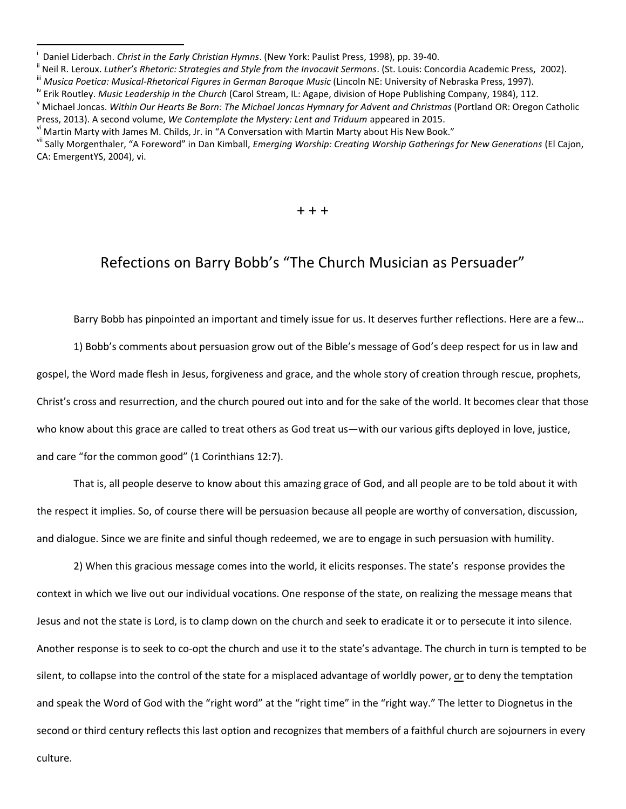$+ + +$ 

## Refections on Barry Bobb's "The Church Musician as Persuader"

Barry Bobb has pinpointed an important and timely issue for us. It deserves further reflections. Here are a few…

1) Bobb's comments about persuasion grow out of the Bible's message of God's deep respect for us in law and gospel, the Word made flesh in Jesus, forgiveness and grace, and the whole story of creation through rescue, prophets, Christ's cross and resurrection, and the church poured out into and for the sake of the world. It becomes clear that those who know about this grace are called to treat others as God treat us—with our various gifts deployed in love, justice, and care "for the common good" (1 Corinthians 12:7).

That is, all people deserve to know about this amazing grace of God, and all people are to be told about it with the respect it implies. So, of course there will be persuasion because all people are worthy of conversation, discussion, and dialogue. Since we are finite and sinful though redeemed, we are to engage in such persuasion with humility.

2) When this gracious message comes into the world, it elicits responses. The state's response provides the context in which we live out our individual vocations. One response of the state, on realizing the message means that Jesus and not the state is Lord, is to clamp down on the church and seek to eradicate it or to persecute it into silence. Another response is to seek to co-opt the church and use it to the state's advantage. The church in turn is tempted to be silent, to collapse into the control of the state for a misplaced advantage of worldly power, or to deny the temptation and speak the Word of God with the "right word" at the "right time" in the "right way." The letter to Diognetus in the second or third century reflects this last option and recognizes that members of a faithful church are sojourners in every

culture.

 $\overline{\phantom{a}}$ 

i Daniel Liderbach. *Christ in the Early Christian Hymns*. (New York: Paulist Press, 1998), pp. 39-40.

Neil R. Leroux. Luther's Rhetoric: Strategies and Style from the Invocavit Sermons. (St. Louis: Concordia Academic Press, 2002).

iii *Musica Poetica: Musical-Rhetorical Figures in German Baroque Music* (Lincoln NE: University of Nebraska Press, 1997).

iv Erik Routley. *Music Leadership in the Church* (Carol Stream, IL: Agape, division of Hope Publishing Company, 1984), 112.

<sup>v</sup> Michael Joncas. *Within Our Hearts Be Born: The Michael Joncas Hymnary for Advent and Christmas* (Portland OR: Oregon Catholic Press, 2013). A second volume, *We Contemplate the Mystery: Lent and Triduum* appeared in 2015.

 $^{\sf vi}$  Martin Marty with James M. Childs, Jr. in "A Conversation with Martin Marty about His New Book."

vii Sally Morgenthaler, "A Foreword" in Dan Kimball, *Emerging Worship: Creating Worship Gatherings for New Generations* (El Cajon, CA: EmergentYS, 2004), vi.